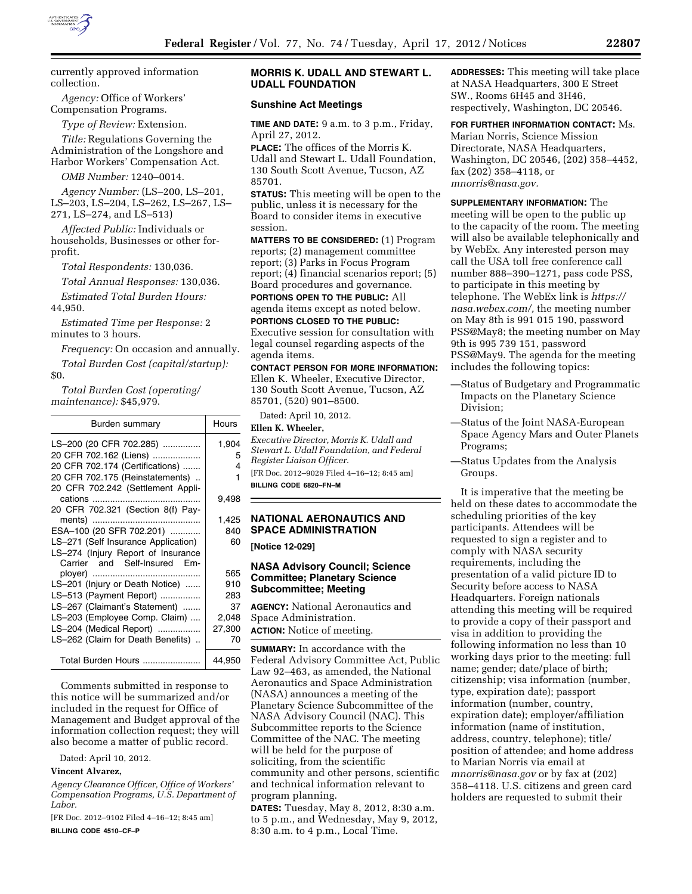

currently approved information collection.

*Agency:* Office of Workers' Compensation Programs.

*Type of Review:* Extension.

*Title:* Regulations Governing the Administration of the Longshore and Harbor Workers' Compensation Act.

*OMB Number:* 1240–0014.

*Agency Number:* (LS–200, LS–201, LS–203, LS–204, LS–262, LS–267, LS– 271, LS–274, and LS–513)

*Affected Public:* Individuals or households, Businesses or other forprofit.

*Total Respondents:* 130,036.

*Total Annual Responses:* 130,036. *Estimated Total Burden Hours:* 

44,950.

*Estimated Time per Response:* 2 minutes to 3 hours.

*Frequency:* On occasion and annually.

*Total Burden Cost (capital/startup):* 

\$0.

*Total Burden Cost (operating/ maintenance):* \$45,979.

| Burden summary                      | Hours  |
|-------------------------------------|--------|
| LS-200 (20 CFR 702.285)             | 1,904  |
| 20 CFR 702.162 (Liens)              | 5      |
| 20 CFR 702.174 (Certifications)     | 4      |
| 20 CFR 702.175 (Reinstatements)     | 1      |
| 20 CFR 702.242 (Settlement Appli-   |        |
|                                     | 9,498  |
| 20 CFR 702.321 (Section 8(f) Pay-   |        |
|                                     | 1,425  |
| ESA-100 (20 SFR 702.201)            | 840    |
| LS-271 (Self Insurance Application) | 60     |
| LS-274 (Injury Report of Insurance  |        |
| Carrier and Self-Insured Em-        |        |
|                                     | 565    |
| LS-201 (Injury or Death Notice)     | 910    |
| LS-513 (Payment Report)             | 283    |
| LS-267 (Claimant's Statement)       | 37     |
| LS-203 (Employee Comp. Claim)       | 2,048  |
| LS-204 (Medical Report)             | 27,300 |
| LS-262 (Claim for Death Benefits)   | 70     |
| Total Burden Hours                  | 44,950 |

Comments submitted in response to this notice will be summarized and/or included in the request for Office of Management and Budget approval of the information collection request; they will also become a matter of public record.

Dated: April 10, 2012.

#### **Vincent Alvarez,**

*Agency Clearance Officer, Office of Workers' Compensation Programs, U.S. Department of Labor.* 

[FR Doc. 2012–9102 Filed 4–16–12; 8:45 am]

**BILLING CODE 4510–CF–P** 

# **MORRIS K. UDALL AND STEWART L. UDALL FOUNDATION**

### **Sunshine Act Meetings**

**TIME AND DATE:** 9 a.m. to 3 p.m., Friday, April 27, 2012.

**PLACE:** The offices of the Morris K. Udall and Stewart L. Udall Foundation, 130 South Scott Avenue, Tucson, AZ 85701.

**STATUS:** This meeting will be open to the public, unless it is necessary for the Board to consider items in executive session.

**MATTERS TO BE CONSIDERED:** (1) Program reports; (2) management committee report; (3) Parks in Focus Program report; (4) financial scenarios report; (5) Board procedures and governance. **PORTIONS OPEN TO THE PUBLIC:** All

agenda items except as noted below.

**PORTIONS CLOSED TO THE PUBLIC:**  Executive session for consultation with legal counsel regarding aspects of the agenda items.

**CONTACT PERSON FOR MORE INFORMATION:**  Ellen K. Wheeler, Executive Director, 130 South Scott Avenue, Tucson, AZ 85701, (520) 901–8500.

Dated: April 10, 2012.

# **Ellen K. Wheeler,**

*Executive Director, Morris K. Udall and Stewart L. Udall Foundation, and Federal Register Liaison Officer.*  [FR Doc. 2012–9029 Filed 4–16–12; 8:45 am] **BILLING CODE 6820–FN–M** 

# **NATIONAL AERONAUTICS AND SPACE ADMINISTRATION**

**[Notice 12-029]** 

# **NASA Advisory Council; Science Committee; Planetary Science Subcommittee; Meeting**

**AGENCY:** National Aeronautics and Space Administration. **ACTION:** Notice of meeting.

**SUMMARY:** In accordance with the Federal Advisory Committee Act, Public Law 92–463, as amended, the National Aeronautics and Space Administration (NASA) announces a meeting of the Planetary Science Subcommittee of the NASA Advisory Council (NAC). This Subcommittee reports to the Science Committee of the NAC. The meeting will be held for the purpose of soliciting, from the scientific community and other persons, scientific and technical information relevant to program planning.

**DATES:** Tuesday, May 8, 2012, 8:30 a.m. to 5 p.m., and Wednesday, May 9, 2012, 8:30 a.m. to 4 p.m., Local Time.

**ADDRESSES:** This meeting will take place at NASA Headquarters, 300 E Street SW., Rooms 6H45 and 3H46, respectively, Washington, DC 20546.

**FOR FURTHER INFORMATION CONTACT:** Ms.

Marian Norris, Science Mission Directorate, NASA Headquarters, Washington, DC 20546, (202) 358–4452, fax (202) 358–4118, or *[mnorris@nasa.gov.](mailto:mnorris@nasa.gov)* 

**SUPPLEMENTARY INFORMATION:** The meeting will be open to the public up to the capacity of the room. The meeting will also be available telephonically and by WebEx. Any interested person may call the USA toll free conference call number 888–390–1271, pass code PSS, to participate in this meeting by telephone. The WebEx link is *[https://](https://nasa.webex.com/)  [nasa.webex.com/,](https://nasa.webex.com/)* the meeting number on May 8th is 991 015 190, password PSS@May8; the meeting number on May 9th is 995 739 151, password PSS@May9. The agenda for the meeting includes the following topics:

- —Status of Budgetary and Programmatic Impacts on the Planetary Science Division;
- —Status of the Joint NASA-European Space Agency Mars and Outer Planets Programs;
- —Status Updates from the Analysis Groups.

It is imperative that the meeting be held on these dates to accommodate the scheduling priorities of the key participants. Attendees will be requested to sign a register and to comply with NASA security requirements, including the presentation of a valid picture ID to Security before access to NASA Headquarters. Foreign nationals attending this meeting will be required to provide a copy of their passport and visa in addition to providing the following information no less than 10 working days prior to the meeting: full name; gender; date/place of birth; citizenship; visa information (number, type, expiration date); passport information (number, country, expiration date); employer/affiliation information (name of institution, address, country, telephone); title/ position of attendee; and home address to Marian Norris via email at *[mnorris@nasa.gov](mailto:mnorris@nasa.gov)* or by fax at (202) 358–4118. U.S. citizens and green card holders are requested to submit their